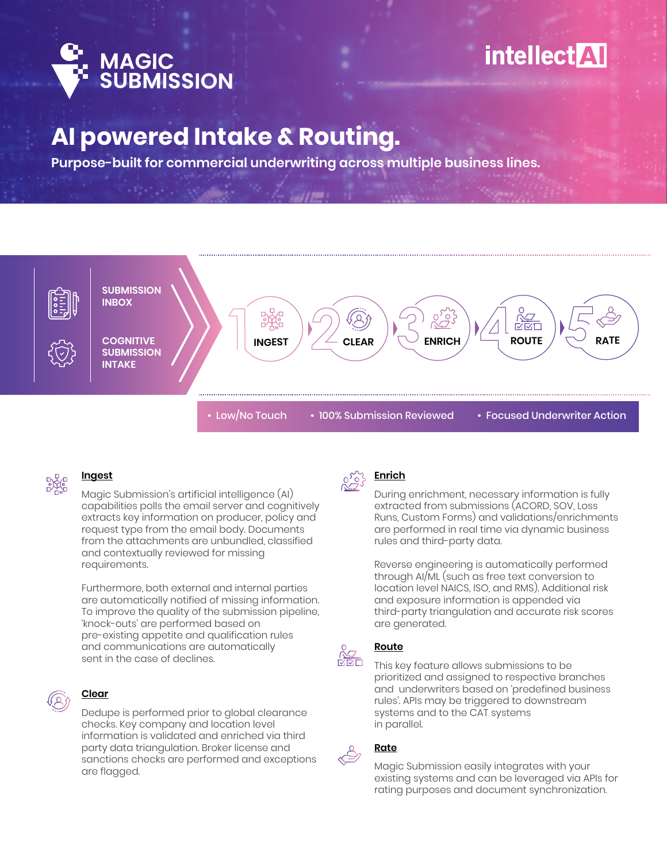

# **AI powered Intake & Routing.**

**Purpose-built for commercial underwriting across multiple business lines.**





#### **Ingest**

Magic Submission's artificial intelligence (AI) capabilities polls the email server and cognitively extracts key information on producer, policy and request type from the email body. Documents from the attachments are unbundled, classified and contextually reviewed for missing requirements.

Furthermore, both external and internal parties are automatically notified of missing information. To improve the quality of the submission pipeline, 'knock-outs' are performed based on pre-existing appetite and qualification rules and communications are automatically sent in the case of declines.



## **Clear**

Dedupe is performed prior to global clearance checks. Key company and location level information is validated and enriched via third party data triangulation. Broker license and sanctions checks are performed and exceptions are flagged.



#### **Enrich**

During enrichment, necessary information is fully extracted from submissions (ACORD, SOV, Loss Runs, Custom Forms) and validations/enrichments are performed in real time via dynamic business rules and third-party data.

Reverse engineering is automatically performed through AI/ML (such as free text conversion to location level NAICS, ISO, and RMS). Additional risk and exposure information is appended via third-party triangulation and accurate risk scores are generated.



### **Route**

This key feature allows submissions to be prioritized and assigned to respective branches and underwriters based on 'predefined business rules'. APIs may be triggered to downstream systems and to the CAT systems in parallel.



#### **Rate**

Magic Submission easily integrates with your existing systems and can be leveraged via APIs for rating purposes and document synchronization.